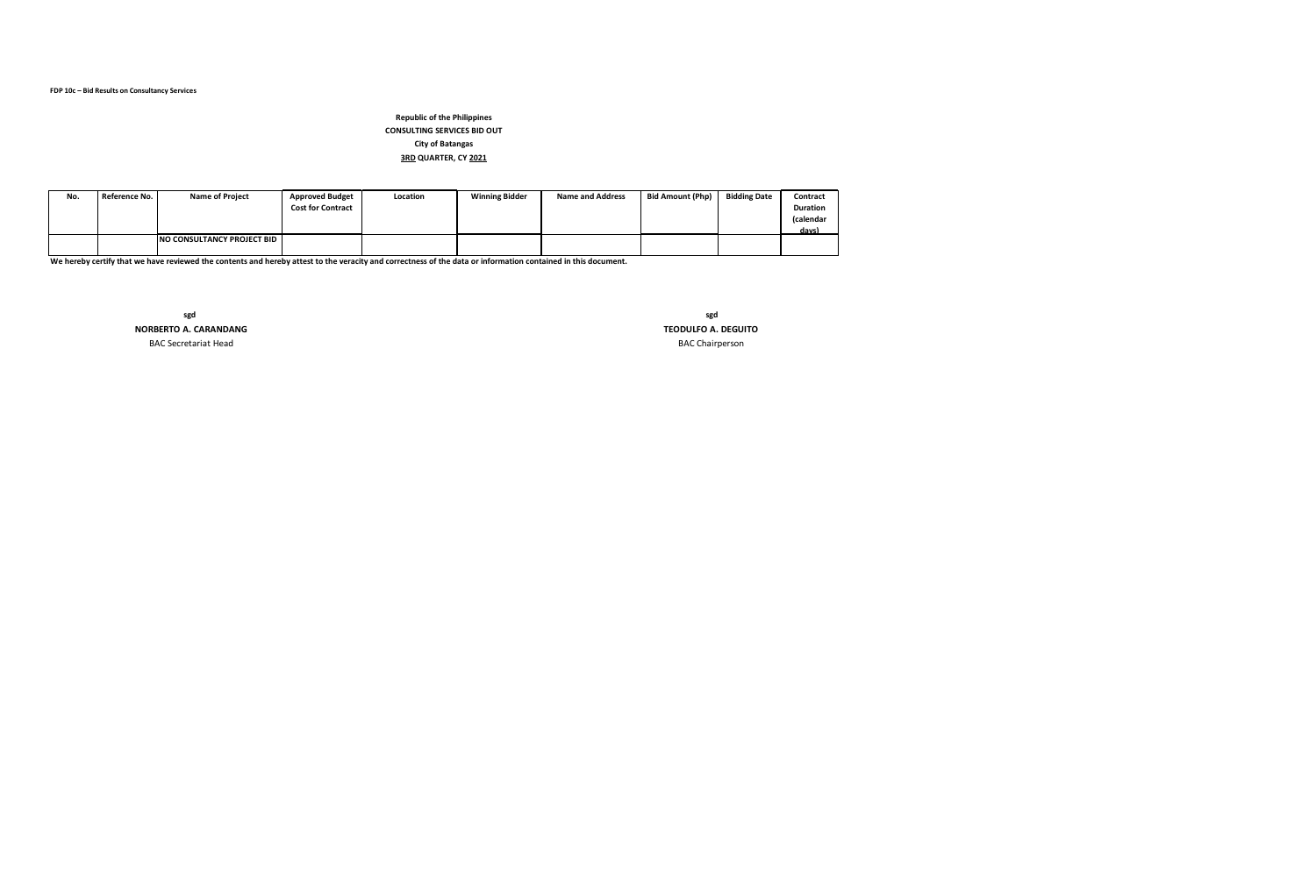| No. | Reference No. | <b>Name of Project</b>               | <b>Approved Budget</b><br><b>Cost for Contract</b> | Location | <b>Winning Bidder</b> | <b>Name and Address</b> | <b>Bid Amount (Php)</b> | <b>Bidding Date</b> | Contract<br><b>Duration</b><br>(calendar<br>days) |
|-----|---------------|--------------------------------------|----------------------------------------------------|----------|-----------------------|-------------------------|-------------------------|---------------------|---------------------------------------------------|
|     |               | <b>INO CONSULTANCY PROJECT BID I</b> |                                                    |          |                       |                         |                         |                     |                                                   |

<u>I</u><br>We hereby certify that we have reviewed the contents and hereby attest to the veracity and correctness of the data or information contained in this document.

BAC Secretariat Head BAC Chairperson **sgd sgd** 

 **NORBERTO A. CARANDANG TEODULFO A. DEGUITO**

# **Republic of the Philippines CONSULTING SERVICES BID OUT City of Batangas 3RD QUARTER, CY 2021**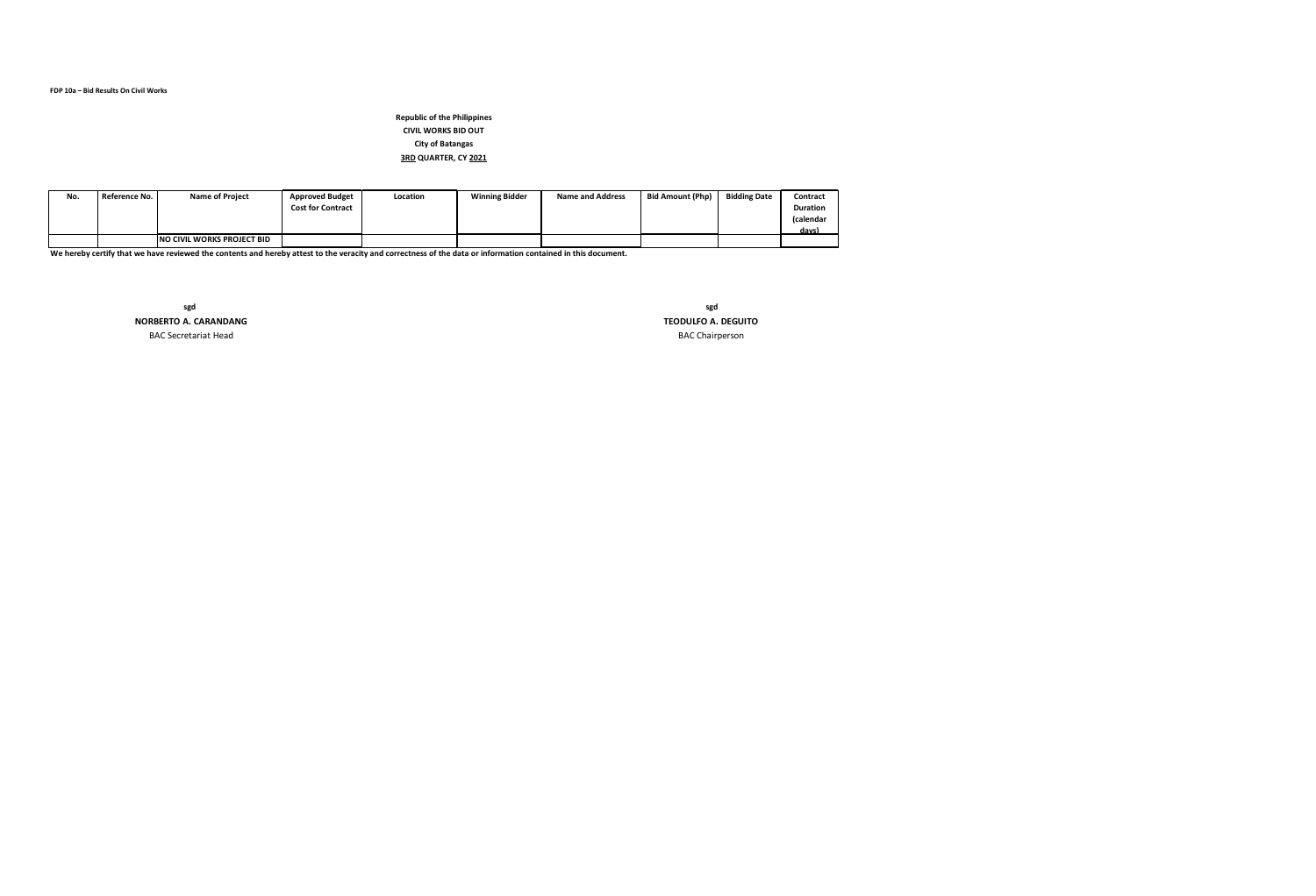| No. | Reference No. | <b>Name of Project</b>      | <b>Approved Budget</b><br><b>Cost for Contract</b> | Location | <b>Winning Bidder</b> | <b>Name and Address</b> | <b>Bid Amount (Php)</b> | <b>Bidding Date</b> | Contract<br><b>Duration</b><br>(calendar<br>davs) |
|-----|---------------|-----------------------------|----------------------------------------------------|----------|-----------------------|-------------------------|-------------------------|---------------------|---------------------------------------------------|
|     |               | INO CIVIL WORKS PROJECT BID |                                                    |          |                       |                         |                         |                     |                                                   |

# **Republic of the Philippines CIVIL WORKS BID OUT City of Batangas 3RD QUARTER, CY 2021**

**sgd sgd NORBERTO A. CARANDANG TEODULFO A. DEGUITO**

BAC Secretariat Head BAC Chairperson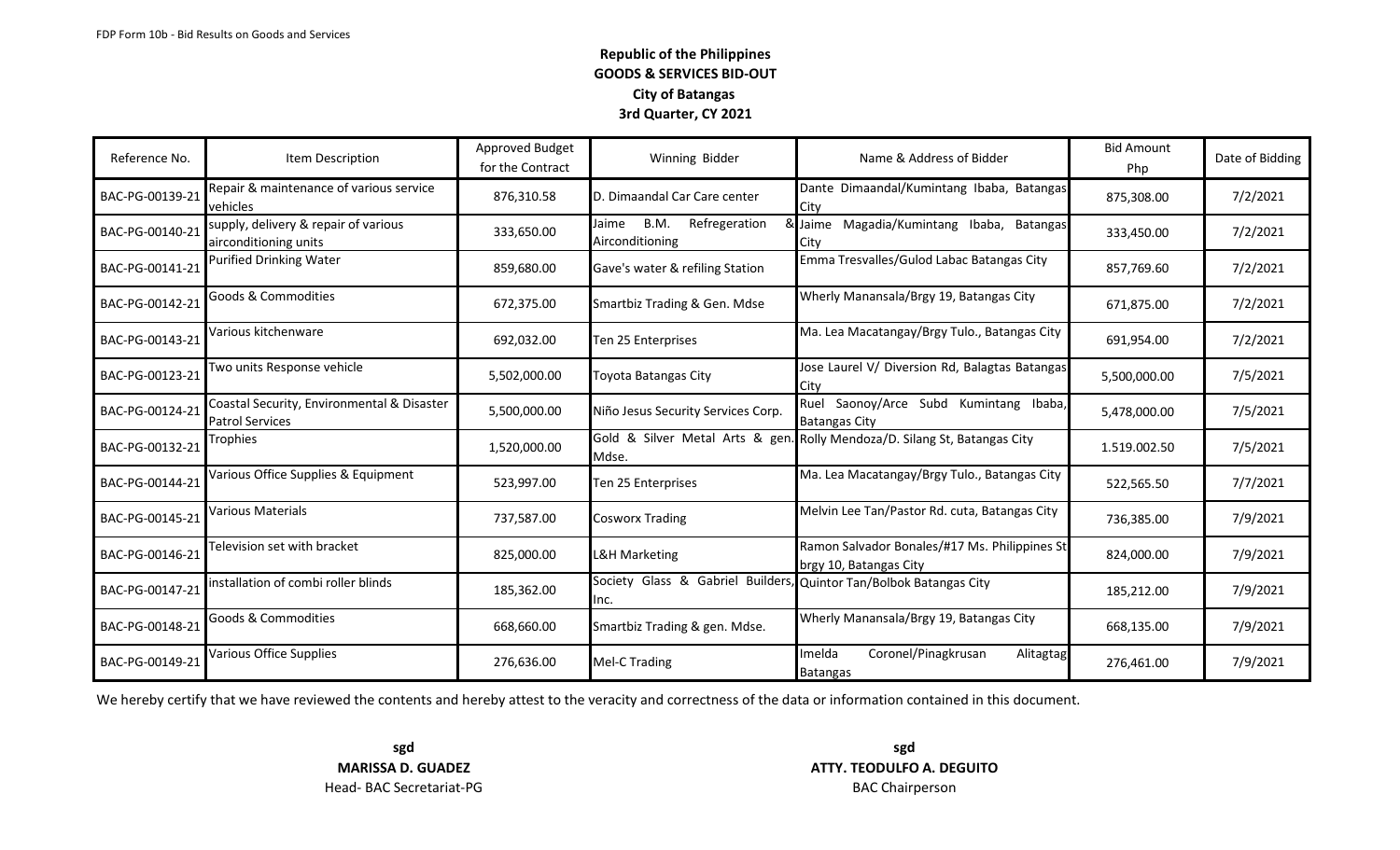| Reference No.   | Item Description                                                     | Approved Budget<br>for the Contract | Winning Bidder                                                             | Name & Address of Bidder                                                | <b>Bid Amount</b><br>Php | Date of Bidding |
|-----------------|----------------------------------------------------------------------|-------------------------------------|----------------------------------------------------------------------------|-------------------------------------------------------------------------|--------------------------|-----------------|
| BAC-PG-00139-21 | Repair & maintenance of various service<br>vehicles                  | 876,310.58                          | D. Dimaandal Car Care center                                               | Dante Dimaandal/Kumintang Ibaba, Batangas<br>City                       | 875,308.00               | 7/2/2021        |
| BAC-PG-00140-21 | supply, delivery & repair of various<br>airconditioning units        | 333,650.00                          | Refregeration<br>B.M.<br>Jaime<br>Airconditioning                          | & Jaime Magadia/Kumintang Ibaba, Batangas<br>City                       | 333,450.00               | 7/2/2021        |
| BAC-PG-00141-21 | Purified Drinking Water                                              | 859,680.00                          | Gave's water & refiling Station                                            | Emma Tresvalles/Gulod Labac Batangas City                               | 857,769.60               | 7/2/2021        |
| BAC-PG-00142-21 | Goods & Commodities                                                  | 672,375.00                          | Smartbiz Trading & Gen. Mdse                                               | Wherly Manansala/Brgy 19, Batangas City                                 | 671,875.00               | 7/2/2021        |
| BAC-PG-00143-21 | Various kitchenware                                                  | 692,032.00                          | Ten 25 Enterprises                                                         | Ma. Lea Macatangay/Brgy Tulo., Batangas City                            | 691,954.00               | 7/2/2021        |
| BAC-PG-00123-21 | Two units Response vehicle                                           | 5,502,000.00                        | Toyota Batangas City                                                       | Jose Laurel V/ Diversion Rd, Balagtas Batangas<br>City                  | 5,500,000.00             | 7/5/2021        |
| BAC-PG-00124-21 | Coastal Security, Environmental & Disaster<br><b>Patrol Services</b> | 5,500,000.00                        | Niño Jesus Security Services Corp.                                         | Ruel Saonoy/Arce Subd Kumintang Ibaba,<br><b>Batangas City</b>          | 5,478,000.00             | 7/5/2021        |
| BAC-PG-00132-21 | Trophies                                                             | 1,520,000.00                        | Gold & Silver Metal Arts & gen.<br>Mdse.                                   | Rolly Mendoza/D. Silang St, Batangas City                               | 1.519.002.50             | 7/5/2021        |
| BAC-PG-00144-21 | Various Office Supplies & Equipment                                  | 523,997.00                          | Ten 25 Enterprises                                                         | Ma. Lea Macatangay/Brgy Tulo., Batangas City                            | 522,565.50               | 7/7/2021        |
| BAC-PG-00145-21 | Various Materials                                                    | 737,587.00                          | <b>Cosworx Trading</b>                                                     | Melvin Lee Tan/Pastor Rd. cuta, Batangas City                           | 736,385.00               | 7/9/2021        |
| BAC-PG-00146-21 | Television set with bracket                                          | 825,000.00                          | <b>L&amp;H Marketing</b>                                                   | Ramon Salvador Bonales/#17 Ms. Philippines St<br>brgy 10, Batangas City | 824,000.00               | 7/9/2021        |
| BAC-PG-00147-21 | installation of combi roller blinds                                  | 185,362.00                          | Society Glass & Gabriel Builders, Quintor Tan/Bolbok Batangas City<br>Inc. |                                                                         | 185,212.00               | 7/9/2021        |
| BAC-PG-00148-21 | Goods & Commodities                                                  | 668,660.00                          | Smartbiz Trading & gen. Mdse.                                              | Wherly Manansala/Brgy 19, Batangas City                                 | 668,135.00               | 7/9/2021        |
| BAC-PG-00149-21 | Various Office Supplies                                              | 276,636.00                          | Mel-C Trading                                                              | Coronel/Pinagkrusan<br>Imelda<br>Alitagtag<br><b>Batangas</b>           | 276,461.00               | 7/9/2021        |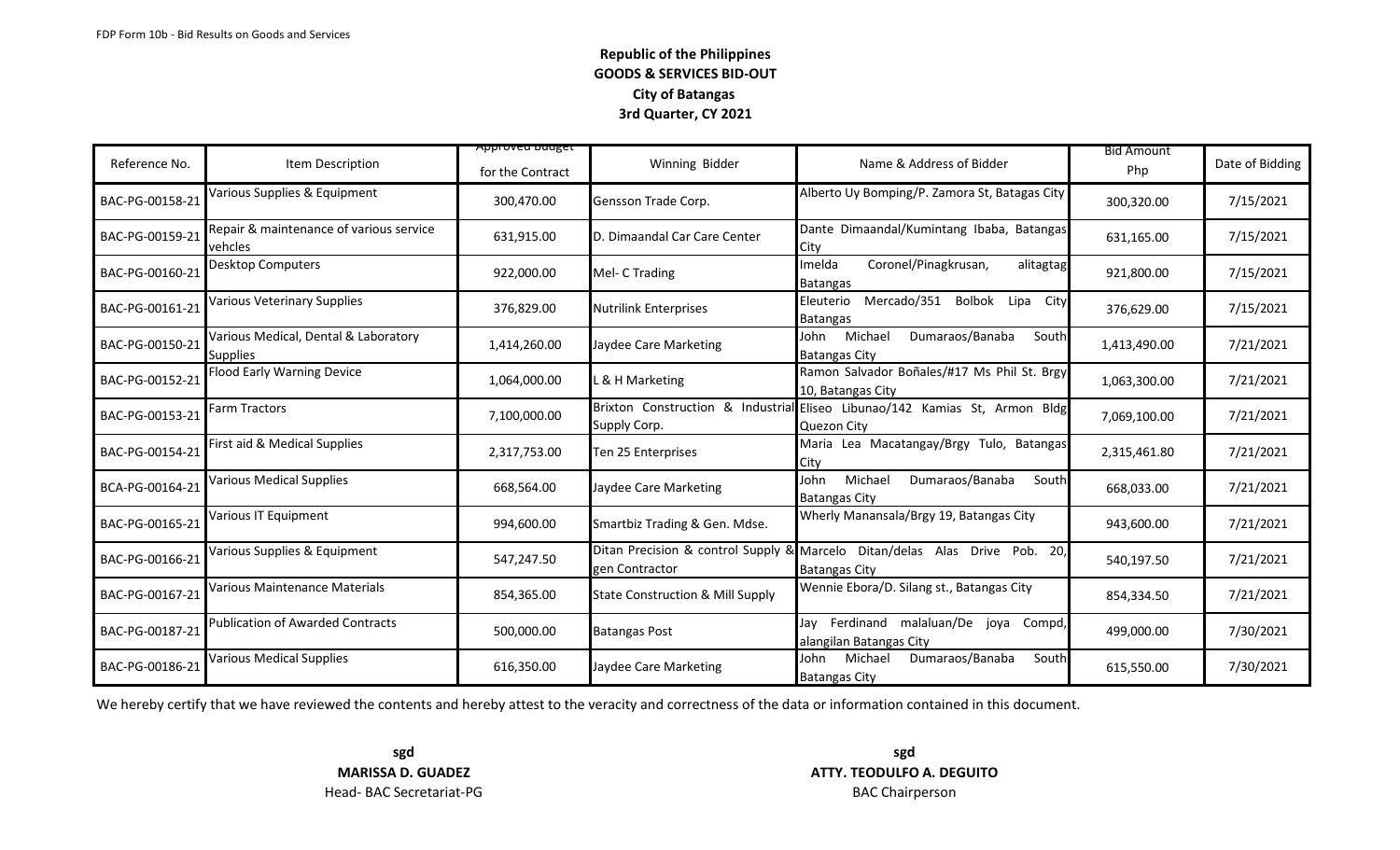|                 |                                                         | <del>Approveu buuget</del> |                                             |                                                                                                       | <b>Bid Amount</b> |                 |
|-----------------|---------------------------------------------------------|----------------------------|---------------------------------------------|-------------------------------------------------------------------------------------------------------|-------------------|-----------------|
| Reference No.   | Item Description                                        | for the Contract           | Winning Bidder                              | Name & Address of Bidder                                                                              | Php               | Date of Bidding |
| BAC-PG-00158-21 | Various Supplies & Equipment                            | 300,470.00                 | Gensson Trade Corp.                         | Alberto Uy Bomping/P. Zamora St, Batagas City                                                         | 300,320.00        | 7/15/2021       |
| BAC-PG-00159-21 | Repair & maintenance of various service<br>vehcles      | 631,915.00                 | D. Dimaandal Car Care Center                | Dante Dimaandal/Kumintang Ibaba, Batangas<br>City                                                     | 631,165.00        | 7/15/2021       |
| BAC-PG-00160-21 | Desktop Computers                                       | 922,000.00                 | Mel- C Trading                              | Coronel/Pinagkrusan,<br>Imelda<br>alitagtag<br>Batangas                                               | 921,800.00        | 7/15/2021       |
| BAC-PG-00161-21 | <b>Various Veterinary Supplies</b>                      | 376,829.00                 | <b>Nutrilink Enterprises</b>                | Mercado/351<br>Bolbok Lipa City<br>Eleuterio<br>Batangas                                              | 376,629.00        | 7/15/2021       |
| BAC-PG-00150-21 | Various Medical, Dental & Laboratory<br><b>Supplies</b> | 1,414,260.00               | Jaydee Care Marketing                       | Michael<br>Dumaraos/Banaba<br>John<br>South<br><b>Batangas City</b>                                   | 1,413,490.00      | 7/21/2021       |
| BAC-PG-00152-21 | <b>Flood Early Warning Device</b>                       | 1,064,000.00               | L & H Marketing                             | Ramon Salvador Boñales/#17 Ms Phil St. Brgy<br>10, Batangas City                                      | 1,063,300.00      | 7/21/2021       |
| BAC-PG-00153-21 | Farm Tractors                                           | 7,100,000.00               | Supply Corp.                                | Brixton Construction & Industrial Eliseo Libunao/142 Kamias St, Armon Bldg<br>Quezon City             | 7,069,100.00      | 7/21/2021       |
| BAC-PG-00154-21 | First aid & Medical Supplies                            | 2,317,753.00               | Ten 25 Enterprises                          | Maria Lea Macatangay/Brgy Tulo, Batangas<br>City                                                      | 2,315,461.80      | 7/21/2021       |
| BCA-PG-00164-21 | Various Medical Supplies                                | 668,564.00                 | Jaydee Care Marketing                       | Michael<br>John<br>Dumaraos/Banaba<br>South<br><b>Batangas City</b>                                   | 668,033.00        | 7/21/2021       |
| BAC-PG-00165-21 | Various IT Equipment                                    | 994,600.00                 | Smartbiz Trading & Gen. Mdse.               | Wherly Manansala/Brgy 19, Batangas City                                                               | 943,600.00        | 7/21/2021       |
| BAC-PG-00166-21 | Various Supplies & Equipment                            | 547,247.50                 | gen Contractor                              | Ditan Precision & control Supply & Marcelo Ditan/delas Alas Drive Pob.<br>20,<br><b>Batangas City</b> | 540,197.50        | 7/21/2021       |
| BAC-PG-00167-21 | Various Maintenance Materials                           | 854,365.00                 | <b>State Construction &amp; Mill Supply</b> | Wennie Ebora/D. Silang st., Batangas City                                                             | 854,334.50        | 7/21/2021       |
| BAC-PG-00187-21 | <b>Publication of Awarded Contracts</b>                 | 500,000.00                 | <b>Batangas Post</b>                        | Jay Ferdinand malaluan/De joya Compd,<br>alangilan Batangas City                                      | 499,000.00        | 7/30/2021       |
| BAC-PG-00186-21 | Various Medical Supplies                                | 616,350.00                 | Jaydee Care Marketing                       | Dumaraos/Banaba<br>Michael<br>South<br>John<br><b>Batangas City</b>                                   | 615,550.00        | 7/30/2021       |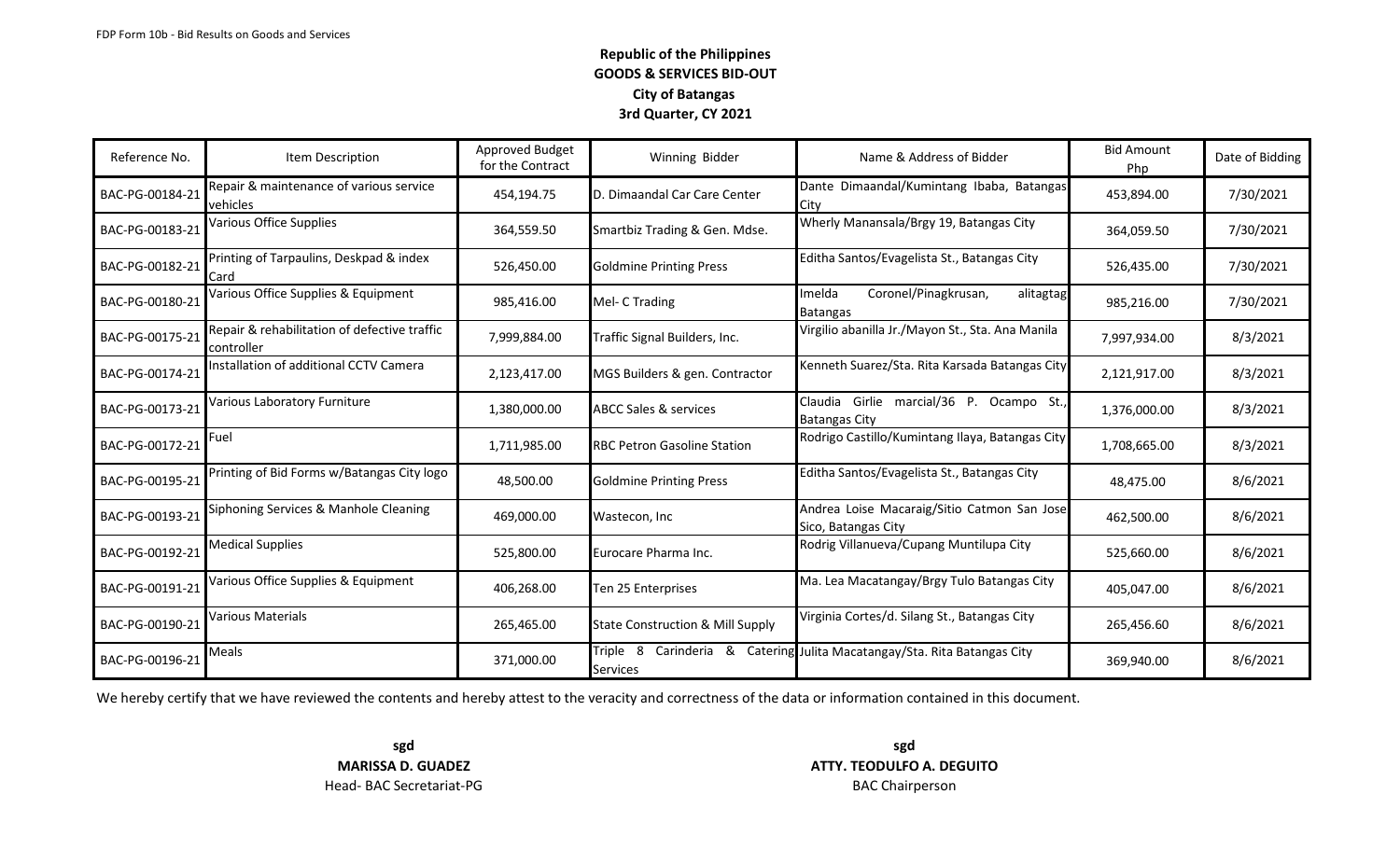| Reference No.   | Item Description                                           | Approved Budget<br>for the Contract | Winning Bidder                                            | Name & Address of Bidder                                            | <b>Bid Amount</b><br>Php | Date of Bidding |
|-----------------|------------------------------------------------------------|-------------------------------------|-----------------------------------------------------------|---------------------------------------------------------------------|--------------------------|-----------------|
| BAC-PG-00184-21 | Repair & maintenance of various service<br>vehicles        | 454,194.75                          | D. Dimaandal Car Care Center                              | Dante Dimaandal/Kumintang Ibaba, Batangas<br>City                   | 453,894.00               | 7/30/2021       |
| BAC-PG-00183-21 | Various Office Supplies                                    | 364,559.50                          | Smartbiz Trading & Gen. Mdse.                             | Wherly Manansala/Brgy 19, Batangas City                             | 364,059.50               | 7/30/2021       |
| BAC-PG-00182-21 | Printing of Tarpaulins, Deskpad & index<br>Card            | 526,450.00                          | <b>Goldmine Printing Press</b>                            | Editha Santos/Evagelista St., Batangas City                         | 526,435.00               | 7/30/2021       |
| BAC-PG-00180-21 | Various Office Supplies & Equipment                        | 985,416.00                          | Mel- C Trading                                            | Coronel/Pinagkrusan,<br>Imelda<br>alitagtag<br>Batangas             | 985,216.00               | 7/30/2021       |
| BAC-PG-00175-21 | Repair & rehabilitation of defective traffic<br>controller | 7,999,884.00                        | Traffic Signal Builders, Inc.                             | Virgilio abanilla Jr./Mayon St., Sta. Ana Manila                    | 7,997,934.00             | 8/3/2021        |
| BAC-PG-00174-21 | Installation of additional CCTV Camera                     | 2,123,417.00                        | MGS Builders & gen. Contractor                            | Kenneth Suarez/Sta. Rita Karsada Batangas City                      | 2,121,917.00             | 8/3/2021        |
| BAC-PG-00173-21 | Various Laboratory Furniture                               | 1,380,000.00                        | <b>ABCC Sales &amp; services</b>                          | Claudia<br>Girlie marcial/36 P. Ocampo St.,<br><b>Batangas City</b> | 1,376,000.00             | 8/3/2021        |
| BAC-PG-00172-21 | Fuel                                                       | 1,711,985.00                        | <b>RBC Petron Gasoline Station</b>                        | Rodrigo Castillo/Kumintang Ilaya, Batangas City                     | 1,708,665.00             | 8/3/2021        |
| BAC-PG-00195-21 | Printing of Bid Forms w/Batangas City logo                 | 48,500.00                           | <b>Goldmine Printing Press</b>                            | Editha Santos/Evagelista St., Batangas City                         | 48,475.00                | 8/6/2021        |
| BAC-PG-00193-21 | Siphoning Services & Manhole Cleaning                      | 469,000.00                          | Wastecon, Inc.                                            | Andrea Loise Macaraig/Sitio Catmon San Jose<br>Sico, Batangas City  | 462,500.00               | 8/6/2021        |
| BAC-PG-00192-21 | <b>Medical Supplies</b>                                    | 525,800.00                          | Eurocare Pharma Inc.                                      | Rodrig Villanueva/Cupang Muntilupa City                             | 525,660.00               | 8/6/2021        |
| BAC-PG-00191-21 | Various Office Supplies & Equipment                        | 406,268.00                          | Ten 25 Enterprises                                        | Ma. Lea Macatangay/Brgy Tulo Batangas City                          | 405,047.00               | 8/6/2021        |
| BAC-PG-00190-21 | Various Materials                                          | 265,465.00                          | <b>State Construction &amp; Mill Supply</b>               | Virginia Cortes/d. Silang St., Batangas City                        | 265,456.60               | 8/6/2021        |
| BAC-PG-00196-21 | Meals                                                      | 371,000.00                          | Triple 8<br>Carinderia<br><u>&amp;</u><br><b>Services</b> | Catering Julita Macatangay/Sta. Rita Batangas City                  | 369,940.00               | 8/6/2021        |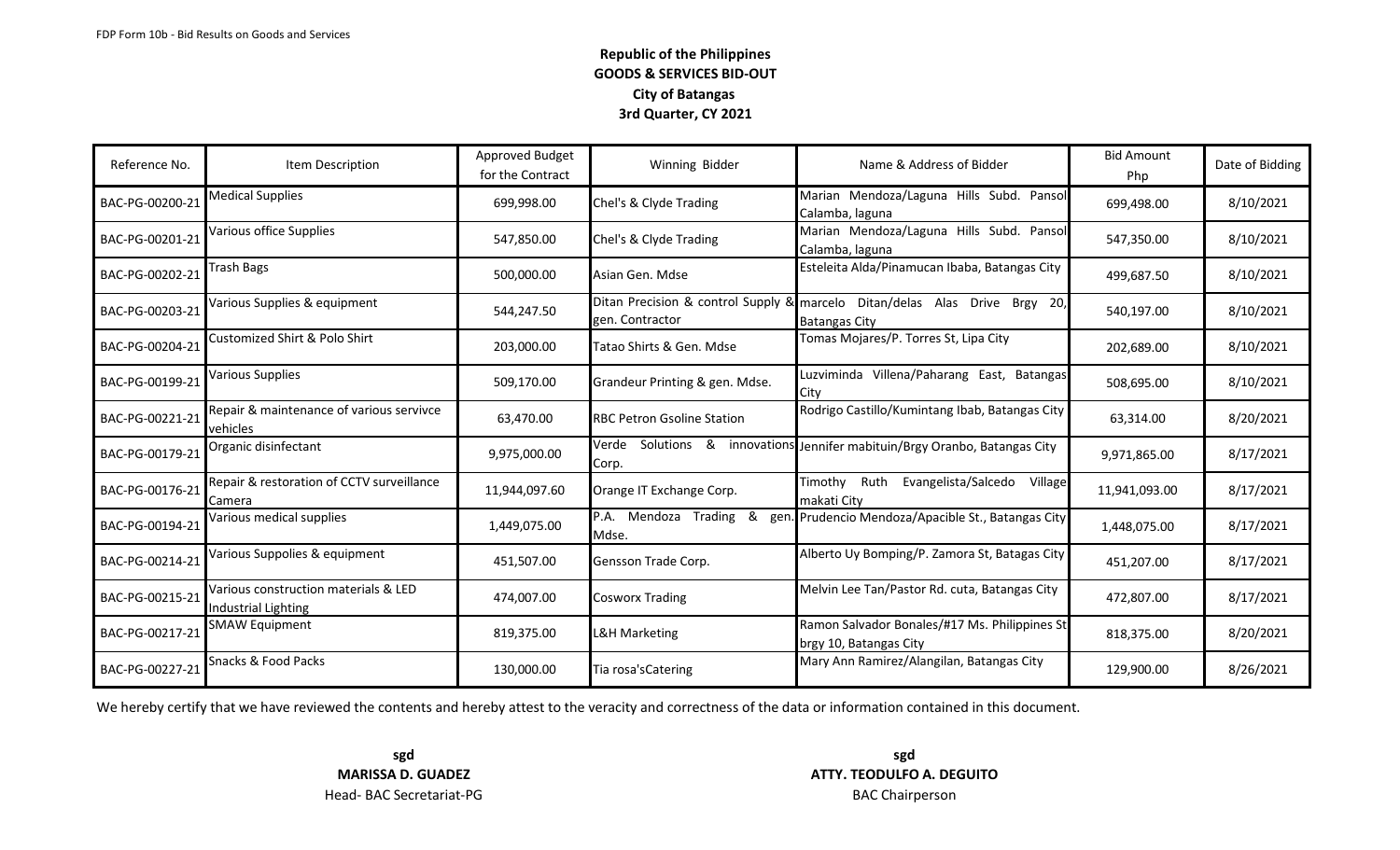| Reference No.   | Item Description                                            | Approved Budget<br>for the Contract | Winning Bidder                     | Name & Address of Bidder                                                                           | <b>Bid Amount</b><br>Php | Date of Bidding |
|-----------------|-------------------------------------------------------------|-------------------------------------|------------------------------------|----------------------------------------------------------------------------------------------------|--------------------------|-----------------|
| BAC-PG-00200-21 | <b>Medical Supplies</b>                                     | 699,998.00                          | Chel's & Clyde Trading             | Marian Mendoza/Laguna Hills Subd. Pansol<br>Calamba, laguna                                        | 699,498.00               | 8/10/2021       |
| BAC-PG-00201-21 | Various office Supplies                                     | 547,850.00                          | Chel's & Clyde Trading             | Marian Mendoza/Laguna Hills Subd. Pansol<br>Calamba, laguna                                        | 547,350.00               | 8/10/2021       |
| BAC-PG-00202-21 | Trash Bags                                                  | 500,000.00                          | Asian Gen. Mdse                    | Esteleita Alda/Pinamucan Ibaba, Batangas City                                                      | 499,687.50               | 8/10/2021       |
| BAC-PG-00203-21 | Various Supplies & equipment                                | 544,247.50                          | gen. Contractor                    | Ditan Precision & control Supply & marcelo Ditan/delas Alas Drive Brgy 20,<br><b>Batangas City</b> | 540,197.00               | 8/10/2021       |
| BAC-PG-00204-21 | Customized Shirt & Polo Shirt                               | 203,000.00                          | Tatao Shirts & Gen. Mdse           | Tomas Mojares/P. Torres St, Lipa City                                                              | 202,689.00               | 8/10/2021       |
| BAC-PG-00199-21 | Various Supplies                                            | 509,170.00                          | Grandeur Printing & gen. Mdse.     | Luzviminda Villena/Paharang East, Batangas<br><b>City</b>                                          | 508,695.00               | 8/10/2021       |
| BAC-PG-00221-21 | Repair & maintenance of various servivce<br>vehicles        | 63,470.00                           | <b>RBC Petron Gsoline Station</b>  | Rodrigo Castillo/Kumintang Ibab, Batangas City                                                     | 63,314.00                | 8/20/2021       |
| BAC-PG-00179-21 | Organic disinfectant                                        | 9,975,000.00                        | Verde Solutions &<br>Corp.         | innovations Jennifer mabituin/Brgy Oranbo, Batangas City                                           | 9,971,865.00             | 8/17/2021       |
| BAC-PG-00176-21 | Repair & restoration of CCTV surveillance<br>Camera         | 11,944,097.60                       | Orange IT Exchange Corp.           | Timothy<br>Ruth<br>Evangelista/Salcedo<br>Village<br>makati City                                   | 11,941,093.00            | 8/17/2021       |
| BAC-PG-00194-21 | Various medical supplies                                    | 1,449,075.00                        | P.A. Mendoza Trading<br>&<br>Mdse. | gen. Prudencio Mendoza/Apacible St., Batangas City                                                 | 1,448,075.00             | 8/17/2021       |
| BAC-PG-00214-21 | Various Suppolies & equipment                               | 451,507.00                          | Gensson Trade Corp.                | Alberto Uy Bomping/P. Zamora St, Batagas City                                                      | 451,207.00               | 8/17/2021       |
| BAC-PG-00215-21 | Various construction materials & LED<br>Industrial Lighting | 474,007.00                          | <b>Cosworx Trading</b>             | Melvin Lee Tan/Pastor Rd. cuta, Batangas City                                                      | 472,807.00               | 8/17/2021       |
| BAC-PG-00217-21 | <b>SMAW Equipment</b>                                       | 819,375.00                          | L&H Marketing                      | Ramon Salvador Bonales/#17 Ms. Philippines St<br>brgy 10, Batangas City                            | 818,375.00               | 8/20/2021       |
| BAC-PG-00227-21 | Snacks & Food Packs                                         | 130,000.00                          | Tia rosa's Catering                | Mary Ann Ramirez/Alangilan, Batangas City                                                          | 129,900.00               | 8/26/2021       |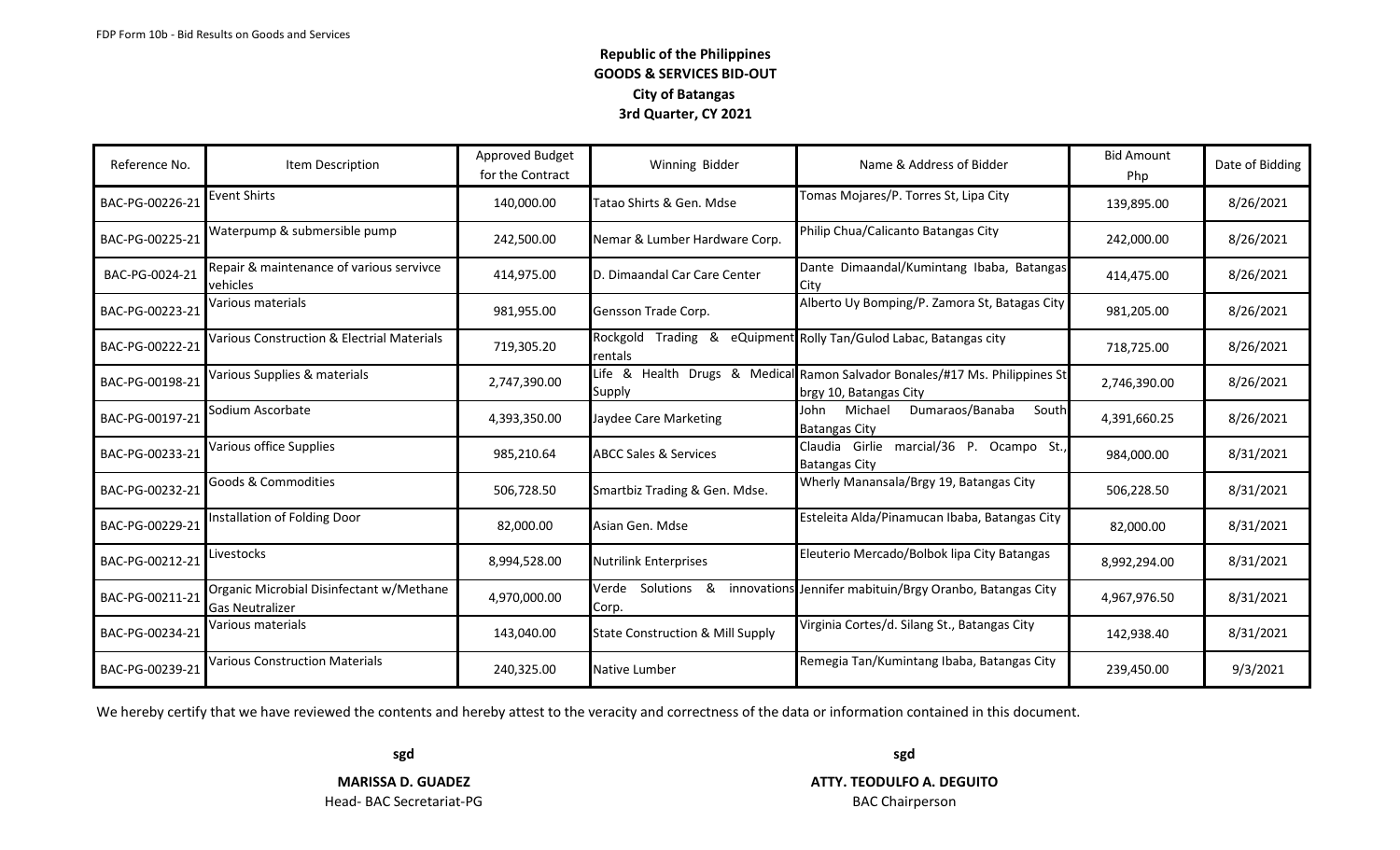| Reference No.   | Item Description                                            | Approved Budget<br>for the Contract | Winning Bidder                              | Name & Address of Bidder                                                                              | <b>Bid Amount</b><br>Php | Date of Bidding |
|-----------------|-------------------------------------------------------------|-------------------------------------|---------------------------------------------|-------------------------------------------------------------------------------------------------------|--------------------------|-----------------|
| BAC-PG-00226-21 | <b>Event Shirts</b>                                         | 140,000.00                          | Tatao Shirts & Gen. Mdse                    | Tomas Mojares/P. Torres St, Lipa City                                                                 | 139,895.00               | 8/26/2021       |
| BAC-PG-00225-21 | Waterpump & submersible pump                                | 242,500.00                          | Nemar & Lumber Hardware Corp.               | Philip Chua/Calicanto Batangas City                                                                   | 242,000.00               | 8/26/2021       |
| BAC-PG-0024-21  | Repair & maintenance of various servivce<br>vehicles        | 414,975.00                          | D. Dimaandal Car Care Center                | Dante Dimaandal/Kumintang Ibaba, Batangas<br>City                                                     | 414,475.00               | 8/26/2021       |
| BAC-PG-00223-21 | Various materials                                           | 981,955.00                          | Gensson Trade Corp.                         | Alberto Uy Bomping/P. Zamora St, Batagas City                                                         | 981,205.00               | 8/26/2021       |
| BAC-PG-00222-21 | Various Construction & Electrial Materials                  | 719,305.20                          | rentals                                     | Rockgold Trading & eQuipment Rolly Tan/Gulod Labac, Batangas city                                     | 718,725.00               | 8/26/2021       |
| BAC-PG-00198-21 | Various Supplies & materials                                | 2,747,390.00                        | Supply                                      | Life & Health Drugs & Medical Ramon Salvador Bonales/#17 Ms. Philippines St<br>brgy 10, Batangas City | 2,746,390.00             | 8/26/2021       |
| BAC-PG-00197-21 | Sodium Ascorbate                                            | 4,393,350.00                        | Jaydee Care Marketing                       | Dumaraos/Banaba<br>Michael<br>John<br>South<br><b>Batangas City</b>                                   | 4,391,660.25             | 8/26/2021       |
| BAC-PG-00233-21 | Various office Supplies                                     | 985,210.64                          | <b>ABCC Sales &amp; Services</b>            | Claudia Girlie marcial/36 P. Ocampo St.,<br><b>Batangas City</b>                                      | 984,000.00               | 8/31/2021       |
| BAC-PG-00232-21 | <b>Goods &amp; Commodities</b>                              | 506,728.50                          | Smartbiz Trading & Gen. Mdse.               | Wherly Manansala/Brgy 19, Batangas City                                                               | 506,228.50               | 8/31/2021       |
| BAC-PG-00229-21 | Installation of Folding Door                                | 82,000.00                           | Asian Gen. Mdse                             | Esteleita Alda/Pinamucan Ibaba, Batangas City                                                         | 82,000.00                | 8/31/2021       |
| BAC-PG-00212-21 | Livestocks                                                  | 8,994,528.00                        | <b>Nutrilink Enterprises</b>                | Eleuterio Mercado/Bolbok lipa City Batangas                                                           | 8,992,294.00             | 8/31/2021       |
| BAC-PG-00211-21 | Organic Microbial Disinfectant w/Methane<br>Gas Neutralizer | 4,970,000.00                        | Solutions &<br>Verde<br>Corp.               | innovations Jennifer mabituin/Brgy Oranbo, Batangas City                                              | 4,967,976.50             | 8/31/2021       |
| BAC-PG-00234-21 | Various materials                                           | 143,040.00                          | <b>State Construction &amp; Mill Supply</b> | Virginia Cortes/d. Silang St., Batangas City                                                          | 142,938.40               | 8/31/2021       |
| BAC-PG-00239-21 | <b>Various Construction Materials</b>                       | 240,325.00                          | Native Lumber                               | Remegia Tan/Kumintang Ibaba, Batangas City                                                            | 239,450.00               | 9/3/2021        |

We hereby certify that we have reviewed the contents and hereby attest to the veracity and correctness of the data or information contained in this document.

Head- BAC Secretariat-PG **BAC Chairperson** 

**sgd sgd**

**MARISSA D. GUADEZ ATTY. TEODULFO A. DEGUITO**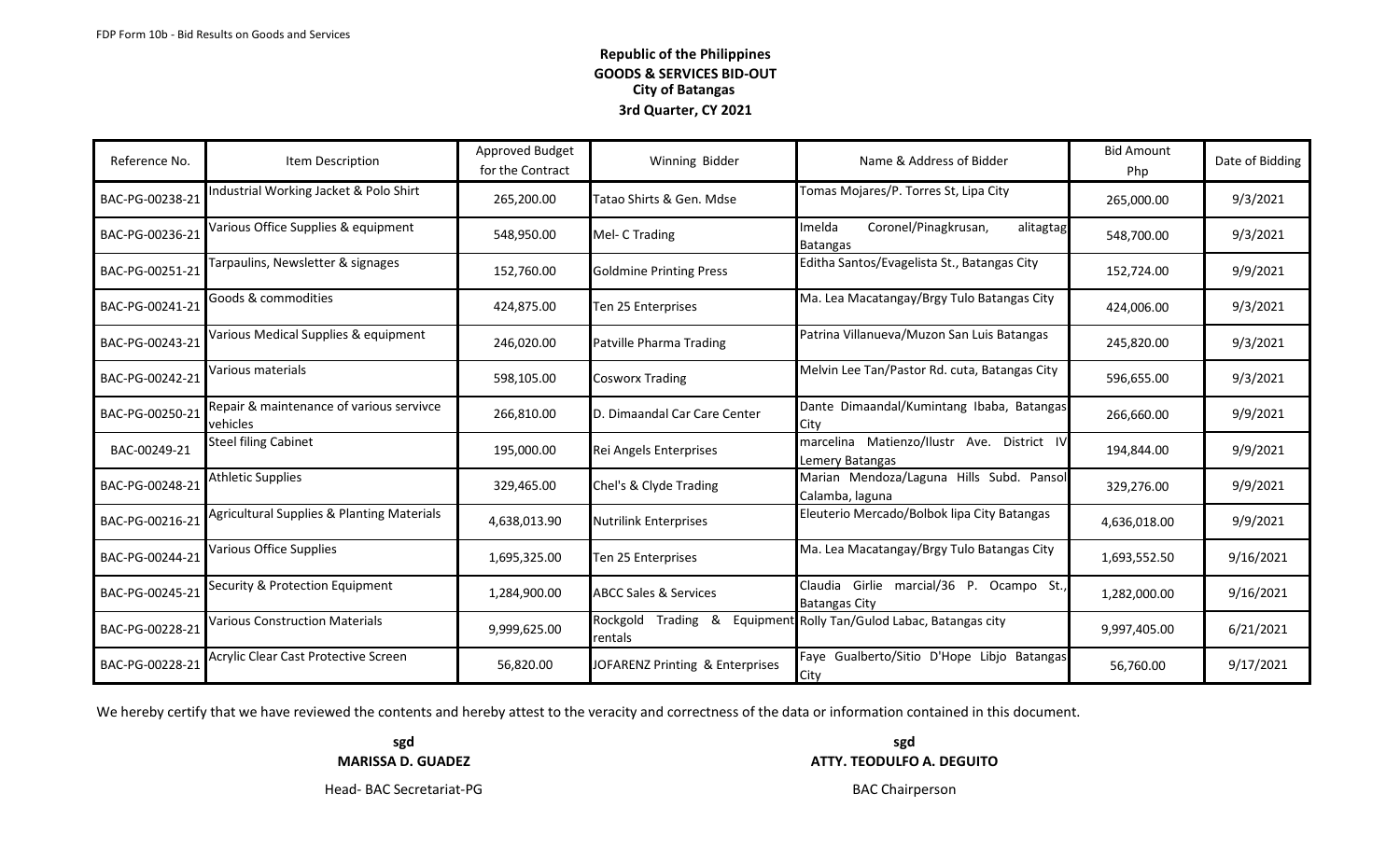| Reference No.   | Item Description                                     | Approved Budget<br>for the Contract | Winning Bidder                      | Name & Address of Bidder                                         | <b>Bid Amount</b><br>Php | Date of Bidding |
|-----------------|------------------------------------------------------|-------------------------------------|-------------------------------------|------------------------------------------------------------------|--------------------------|-----------------|
| BAC-PG-00238-21 | Industrial Working Jacket & Polo Shirt               | 265,200.00                          | Tatao Shirts & Gen. Mdse            | Tomas Mojares/P. Torres St, Lipa City                            | 265,000.00               | 9/3/2021        |
| BAC-PG-00236-21 | Various Office Supplies & equipment                  | 548,950.00                          | Mel- C Trading                      | Coronel/Pinagkrusan,<br>Imelda<br>alitagtag<br>Batangas          | 548,700.00               | 9/3/2021        |
| BAC-PG-00251-21 | Tarpaulins, Newsletter & signages                    | 152,760.00                          | <b>Goldmine Printing Press</b>      | Editha Santos/Evagelista St., Batangas City                      | 152,724.00               | 9/9/2021        |
| BAC-PG-00241-21 | Goods & commodities                                  | 424,875.00                          | Ten 25 Enterprises                  | Ma. Lea Macatangay/Brgy Tulo Batangas City                       | 424,006.00               | 9/3/2021        |
| BAC-PG-00243-21 | Various Medical Supplies & equipment                 | 246,020.00                          | Patville Pharma Trading             | Patrina Villanueva/Muzon San Luis Batangas                       | 245,820.00               | 9/3/2021        |
| BAC-PG-00242-21 | Various materials                                    | 598,105.00                          | <b>Cosworx Trading</b>              | Melvin Lee Tan/Pastor Rd. cuta, Batangas City                    | 596,655.00               | 9/3/2021        |
| BAC-PG-00250-21 | Repair & maintenance of various servivce<br>vehicles | 266,810.00                          | D. Dimaandal Car Care Center        | Dante Dimaandal/Kumintang Ibaba, Batangas<br>Citv                | 266,660.00               | 9/9/2021        |
| BAC-00249-21    | <b>Steel filing Cabinet</b>                          | 195,000.00                          | Rei Angels Enterprises              | marcelina Matienzo/Ilustr Ave. District IV<br>Lemery Batangas    | 194,844.00               | 9/9/2021        |
| BAC-PG-00248-21 | Athletic Supplies                                    | 329,465.00                          | Chel's & Clyde Trading              | Marian Mendoza/Laguna Hills Subd. Pansol<br>Calamba, laguna      | 329,276.00               | 9/9/2021        |
| BAC-PG-00216-21 | Agricultural Supplies & Planting Materials           | 4,638,013.90                        | <b>Nutrilink Enterprises</b>        | Eleuterio Mercado/Bolbok lipa City Batangas                      | 4,636,018.00             | 9/9/2021        |
| BAC-PG-00244-21 | Various Office Supplies                              | 1,695,325.00                        | Ten 25 Enterprises                  | Ma. Lea Macatangay/Brgy Tulo Batangas City                       | 1,693,552.50             | 9/16/2021       |
| BAC-PG-00245-21 | Security & Protection Equipment                      | 1,284,900.00                        | <b>ABCC Sales &amp; Services</b>    | Claudia Girlie marcial/36 P. Ocampo St.,<br><b>Batangas City</b> | 1,282,000.00             | 9/16/2021       |
| BAC-PG-00228-21 | <b>Various Construction Materials</b>                | 9,999,625.00                        | Rockgold<br>&<br>Trading<br>rentals | Equipment Rolly Tan/Gulod Labac, Batangas city                   | 9,997,405.00             | 6/21/2021       |
| BAC-PG-00228-21 | Acrylic Clear Cast Protective Screen                 | 56,820.00                           | JOFARENZ Printing & Enterprises     | Faye Gualberto/Sitio D'Hope Libjo Batangas<br>City               | 56,760.00                | 9/17/2021       |

We hereby certify that we have reviewed the contents and hereby attest to the veracity and correctness of the data or information contained in this document.

**sgd sgd MARISSA D. GUADEZ ATTY. TEODULFO A. DEGUITO** 

Head- BAC Secretariat-PG **BAC Chairperson**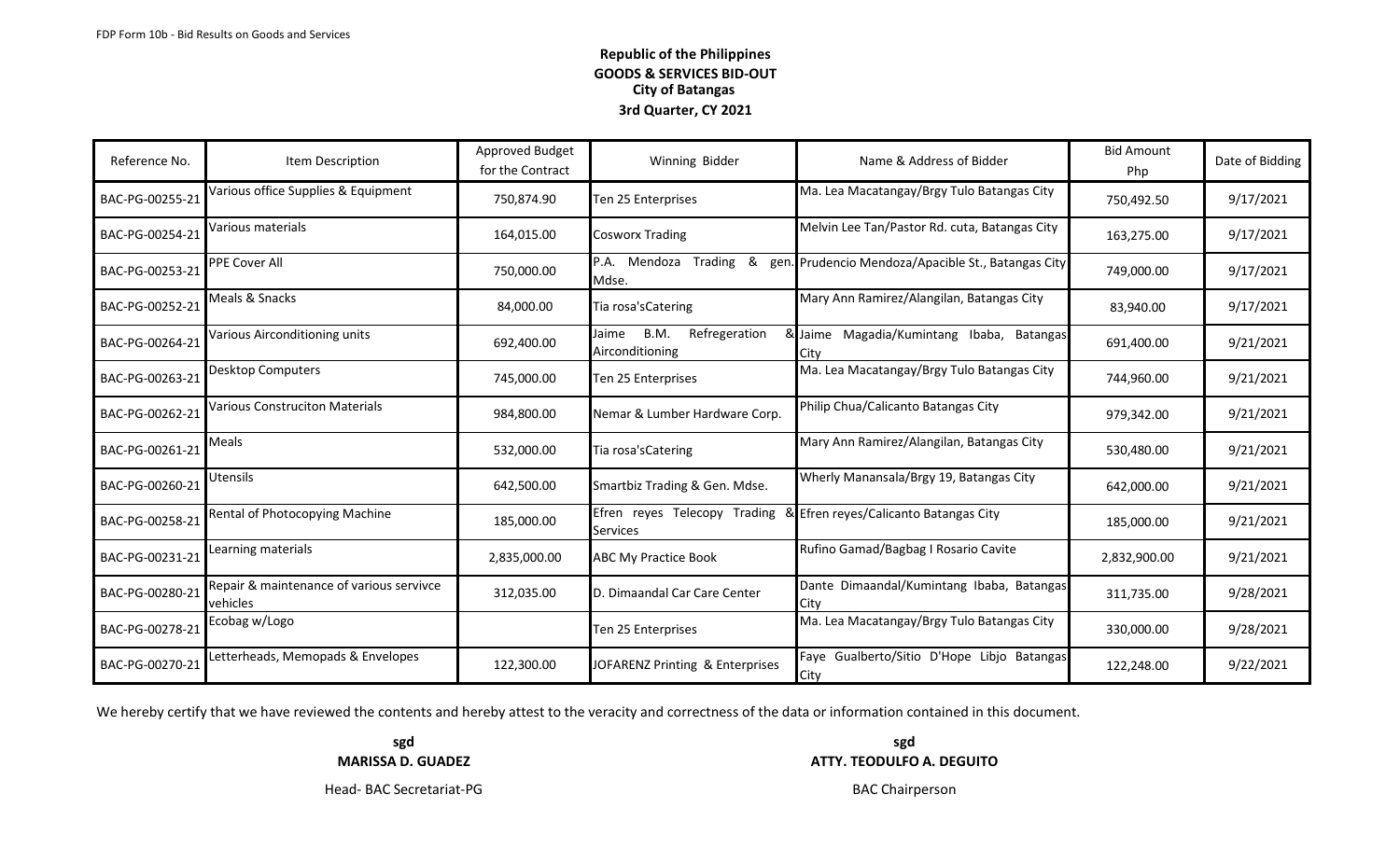| Reference No.   | Item Description                                     | <b>Approved Budget</b><br>for the Contract | Winning Bidder                                    | Name & Address of Bidder                           | <b>Bid Amount</b><br>Php | Date of Bidding |
|-----------------|------------------------------------------------------|--------------------------------------------|---------------------------------------------------|----------------------------------------------------|--------------------------|-----------------|
| BAC-PG-00255-21 | Various office Supplies & Equipment                  | 750,874.90                                 | Ten 25 Enterprises                                | Ma. Lea Macatangay/Brgy Tulo Batangas City         | 750,492.50               | 9/17/2021       |
| BAC-PG-00254-21 | Various materials                                    | 164,015.00                                 | <b>Cosworx Trading</b>                            | Melvin Lee Tan/Pastor Rd. cuta, Batangas City      | 163,275.00               | 9/17/2021       |
| BAC-PG-00253-21 | PPE Cover All                                        | 750,000.00                                 | P.A.<br>Mendoza Trading<br>&<br>Mdse.             | gen. Prudencio Mendoza/Apacible St., Batangas City | 749,000.00               | 9/17/2021       |
| BAC-PG-00252-21 | Meals & Snacks                                       | 84,000.00                                  | Tia rosa's Catering                               | Mary Ann Ramirez/Alangilan, Batangas City          | 83,940.00                | 9/17/2021       |
| BAC-PG-00264-21 | Various Airconditioning units                        | 692,400.00                                 | Refregeration<br>B.M.<br>Jaime<br>Airconditioning | & Jaime Magadia/Kumintang Ibaba, Batangas<br>Citv  | 691,400.00               | 9/21/2021       |
| BAC-PG-00263-21 | <b>Desktop Computers</b>                             | 745,000.00                                 | Ten 25 Enterprises                                | Ma. Lea Macatangay/Brgy Tulo Batangas City         | 744,960.00               | 9/21/2021       |
| BAC-PG-00262-21 | <b>Various Construciton Materials</b>                | 984,800.00                                 | Nemar & Lumber Hardware Corp.                     | Philip Chua/Calicanto Batangas City                | 979,342.00               | 9/21/2021       |
| BAC-PG-00261-21 | Meals                                                | 532,000.00                                 | Tia rosa's Catering                               | Mary Ann Ramirez/Alangilan, Batangas City          | 530,480.00               | 9/21/2021       |
| BAC-PG-00260-21 | Utensils                                             | 642,500.00                                 | Smartbiz Trading & Gen. Mdse.                     | Wherly Manansala/Brgy 19, Batangas City            | 642,000.00               | 9/21/2021       |
| BAC-PG-00258-21 | Rental of Photocopying Machine                       | 185,000.00                                 | Efren reyes Telecopy Trading<br><b>Services</b>   | Efren reyes/Calicanto Batangas City                | 185,000.00               | 9/21/2021       |
| BAC-PG-00231-21 | Learning materials                                   | 2,835,000.00                               | <b>ABC My Practice Book</b>                       | Rufino Gamad/Bagbag I Rosario Cavite               | 2,832,900.00             | 9/21/2021       |
| BAC-PG-00280-21 | Repair & maintenance of various servivce<br>vehicles | 312,035.00                                 | D. Dimaandal Car Care Center                      | Dante Dimaandal/Kumintang Ibaba, Batangas<br>City  | 311,735.00               | 9/28/2021       |
| BAC-PG-00278-21 | Ecobag w/Logo                                        |                                            | Ten 25 Enterprises                                | Ma. Lea Macatangay/Brgy Tulo Batangas City         | 330,000.00               | 9/28/2021       |
| BAC-PG-00270-21 | Letterheads, Memopads & Envelopes                    | 122,300.00                                 | JOFARENZ Printing & Enterprises                   | Faye Gualberto/Sitio D'Hope Libjo Batangas<br>City | 122,248.00               | 9/22/2021       |

We hereby certify that we have reviewed the contents and hereby attest to the veracity and correctness of the data or information contained in this document.

**sgd sgd MARISSA D. GUADEZ ATTY. TEODULFO A. DEGUITO** 

Head- BAC Secretariat-PG **BAC Chairperson**